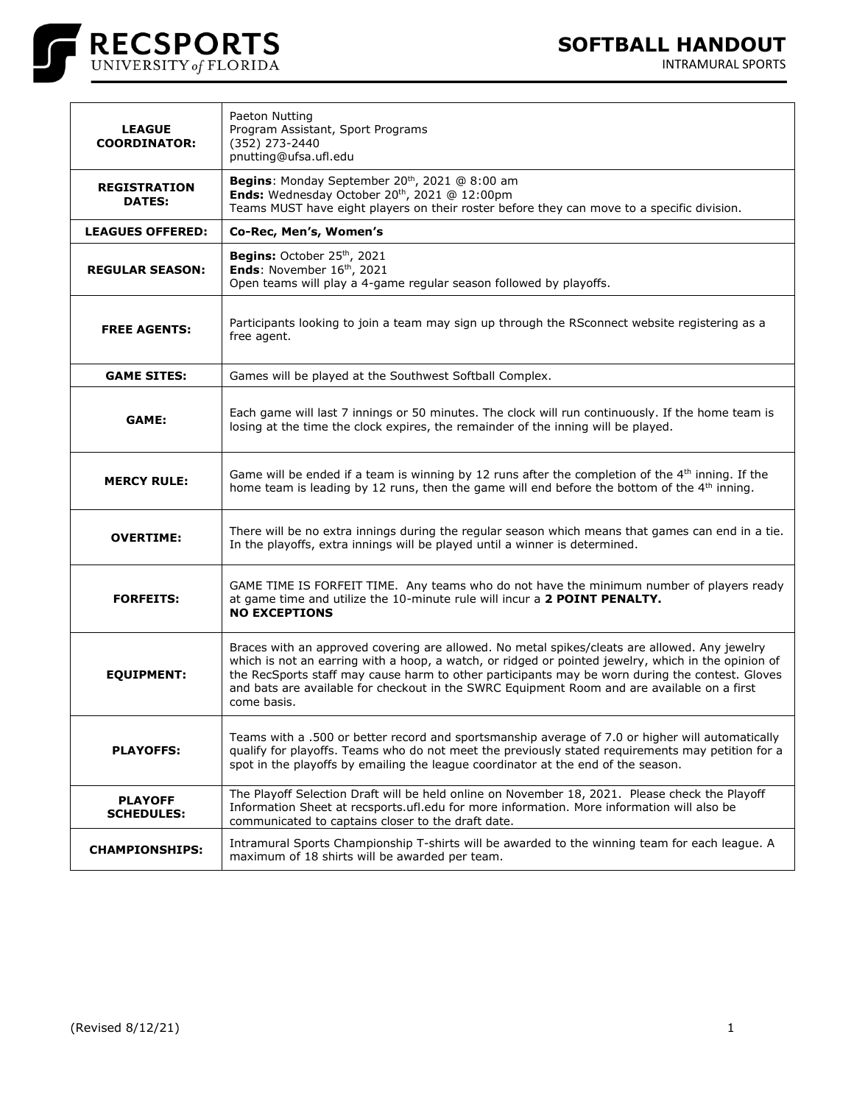

INTRAMURAL SPORTS



| <b>LEAGUE</b><br><b>COORDINATOR:</b> | Paeton Nutting<br>Program Assistant, Sport Programs<br>(352) 273-2440<br>pnutting@ufsa.ufl.edu                                                                                                                                                                                                                                                                                                                        |
|--------------------------------------|-----------------------------------------------------------------------------------------------------------------------------------------------------------------------------------------------------------------------------------------------------------------------------------------------------------------------------------------------------------------------------------------------------------------------|
| <b>REGISTRATION</b><br><b>DATES:</b> | Begins: Monday September 20th, 2021 @ 8:00 am<br>Ends: Wednesday October 20th, 2021 @ 12:00pm<br>Teams MUST have eight players on their roster before they can move to a specific division.                                                                                                                                                                                                                           |
| <b>LEAGUES OFFERED:</b>              | Co-Rec, Men's, Women's                                                                                                                                                                                                                                                                                                                                                                                                |
| <b>REGULAR SEASON:</b>               | Begins: October 25th, 2021<br>Ends: November 16th, 2021<br>Open teams will play a 4-game regular season followed by playoffs.                                                                                                                                                                                                                                                                                         |
| <b>FREE AGENTS:</b>                  | Participants looking to join a team may sign up through the RSconnect website registering as a<br>free agent.                                                                                                                                                                                                                                                                                                         |
| <b>GAME SITES:</b>                   | Games will be played at the Southwest Softball Complex.                                                                                                                                                                                                                                                                                                                                                               |
| GAME:                                | Each game will last 7 innings or 50 minutes. The clock will run continuously. If the home team is<br>losing at the time the clock expires, the remainder of the inning will be played.                                                                                                                                                                                                                                |
| <b>MERCY RULE:</b>                   | Game will be ended if a team is winning by 12 runs after the completion of the $4th$ inning. If the<br>home team is leading by 12 runs, then the game will end before the bottom of the 4 <sup>th</sup> inning.                                                                                                                                                                                                       |
| <b>OVERTIME:</b>                     | There will be no extra innings during the regular season which means that games can end in a tie.<br>In the playoffs, extra innings will be played until a winner is determined.                                                                                                                                                                                                                                      |
| <b>FORFEITS:</b>                     | GAME TIME IS FORFEIT TIME. Any teams who do not have the minimum number of players ready<br>at game time and utilize the 10-minute rule will incur a 2 POINT PENALTY.<br><b>NO EXCEPTIONS</b>                                                                                                                                                                                                                         |
| <b>EQUIPMENT:</b>                    | Braces with an approved covering are allowed. No metal spikes/cleats are allowed. Any jewelry<br>which is not an earring with a hoop, a watch, or ridged or pointed jewelry, which in the opinion of<br>the RecSports staff may cause harm to other participants may be worn during the contest. Gloves<br>and bats are available for checkout in the SWRC Equipment Room and are available on a first<br>come basis. |
| <b>PLAYOFFS:</b>                     | Teams with a .500 or better record and sportsmanship average of 7.0 or higher will automatically<br>qualify for playoffs. Teams who do not meet the previously stated requirements may petition for a<br>spot in the playoffs by emailing the league coordinator at the end of the season.                                                                                                                            |
| <b>PLAYOFF</b><br><b>SCHEDULES:</b>  | The Playoff Selection Draft will be held online on November 18, 2021. Please check the Playoff<br>Information Sheet at recsports.ufl.edu for more information. More information will also be<br>communicated to captains closer to the draft date.                                                                                                                                                                    |
| <b>CHAMPIONSHIPS:</b>                | Intramural Sports Championship T-shirts will be awarded to the winning team for each league. A<br>maximum of 18 shirts will be awarded per team.                                                                                                                                                                                                                                                                      |